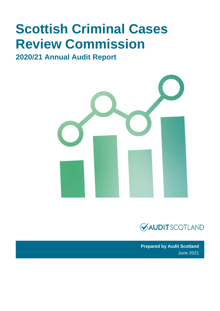# **Scottish Criminal Cases Review Commission**

# **2020/21 Annual Audit Report**





**Prepared by Audit Scotland** June 2021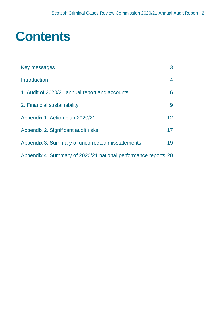# **Contents**

| Key messages                                                   | 3               |
|----------------------------------------------------------------|-----------------|
| <b>Introduction</b>                                            | 4               |
| 1. Audit of 2020/21 annual report and accounts                 | 6               |
| 2. Financial sustainability                                    | 9               |
| Appendix 1. Action plan 2020/21                                | 12 <sup>2</sup> |
| Appendix 2. Significant audit risks                            | 17              |
| Appendix 3. Summary of uncorrected misstatements               | 19              |
| Appendix 4. Summary of 2020/21 national performance reports 20 |                 |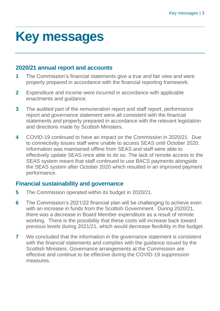# <span id="page-2-0"></span>**Key messages**

# **2020/21 annual report and accounts**

- **1** The Commission's financial statements give a true and fair view and were properly prepared in accordance with the financial reporting framework.
- **2** Expenditure and income were incurred in accordance with applicable enactments and guidance.
- **3** The audited part of the remuneration report and staff report, performance report and governance statement were all consistent with the financial statements and properly prepared in accordance with the relevant legislation and directions made by Scottish Ministers.
- **4** COVID-19 continued to have an impact on the Commission in 2020/21. Due to connectivity issues staff were unable to access SEAS until October 2020. Information was maintained offline from SEAS and staff were able to effectively update SEAS once able to do so. The lack of remote access to the SEAS system meant that staff continued to use BACS payments alongside the SEAS system after October 2020 which resulted in an improved payment performance.

# **Financial sustainability and governance**

- **5** The Commission operated within its budget in 2020/21.
- **6** The Commission's 2021/22 financial plan will be challenging to achieve even with an increase in funds from the Scottish Government. During 2020/21, there was a decrease in Board Member expenditure as a result of remote working. There is the possibility that these costs will increase back toward previous levels during 2021/21, which would decrease flexibility in the budget.
- **7** We concluded that the information in the governance statement is consistent with the financial statements and complies with the guidance issued by the Scottish Ministers. Governance arrangements at the Commission are effective and continue to be effective during the COVID-19 suppression measures.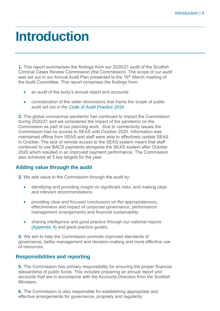# <span id="page-3-0"></span>**Introduction**

**1.** This report summarises the findings from our 2020/21 audit of the Scottish Criminal Cases Review Commission (the Commission). The scope of our audit was set out in our Annual Audit Plan presented to the 16<sup>th</sup> March meeting of the Audit Committee. This report comprises the findings from:

- an audit of the body's annual report and accounts
- consideration of the wider dimensions that frame the scope of public audit set out in the *[Code of Audit Practice 2016](http://www.audit-scotland.gov.uk/report/code-of-audit-practice-2016)*

**2.** The global coronavirus pandemic has continued to impact the Commission during 2020/21 and we considered the impact of the pandemic on the Commission as part of our planning work. Due to connectivity issues the Commission had no access to SEAS until October 2020. Information was maintained offline from SEAS and staff were able to effectively update SEAS in October. The lack of remote access to the SEAS system meant that staff continued to use BACS payments alongside the SEAS system after October 2020 which resulted in an improved payment performance. The Commission also achieved all 5 key targets for the year.

# **Adding value through the audit**

**3.** We add value to the Commission through the audit by:

- identifying and providing insight on significant risks, and making clear and relevant recommendations
- providing clear and focused conclusions on the appropriateness, effectiveness and impact of corporate governance, performance management arrangements and financial sustainability
- sharing intelligence and good practice through our national reports [\(Appendix 4\)](#page-19-0) and good practice guides.

**4.** We aim to help the Commission promote improved standards of governance, better management and decision-making and more effective use of resources.

# **Responsibilities and reporting**

**5.** The Commission has primary responsibility for ensuring the proper financial stewardship of public funds. This includes preparing an annual report and accounts that are in accordance with the Accounts Direction from the Scottish Ministers.

**6.** The Commission is also responsible for establishing appropriate and effective arrangements for governance, propriety and regularity.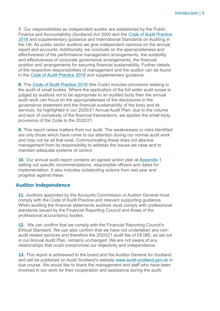**7.** Our responsibilities as independent auditor are established by the Public Finance and Accountability (Scotland) Act 2000 and the *[Code of Audit Practice](https://www.audit-scotland.gov.uk/report/code-of-audit-practice-2016)  [2016](https://www.audit-scotland.gov.uk/report/code-of-audit-practice-2016)* and supplementary guidance and International Standards on Auditing in the UK. As public sector auditors we give independent opinions on the annual report and accounts. Additionally, we conclude on the appropriateness and effectiveness of the performance management arrangements, the suitability and effectiveness of corporate governance arrangements, the financial position and arrangements for securing financial sustainability. Further details of the respective responsibilities of management and the auditor can be found in the *[Code of Audit Practice 2016](https://www.audit-scotland.gov.uk/report/code-of-audit-practice-2016)* and supplementary guidance.

**8.** The *[Code of Audit Practice 2016](http://www.audit-scotland.gov.uk/report/code-of-audit-practice-2016)* (the Code) includes provisions relating to the audit of small bodies. Where the application of the full wider audit scope is judged by auditors not to be appropriate to an audited body then the annual audit work can focus on the appropriateness of the disclosures in the governance statement and the financial sustainability of the body and its services. As highlighted in our 2020/21 Annual Audit Plan, due to the volume and lack of complexity of the financial transactions, we applied the small body provisions of the Code to the 2020/21.

**9.** This report raises matters from our audit. The weaknesses or risks identified are only those which have come to our attention during our normal audit work and may not be all that exist. Communicating these does not absolve management from its responsibility to address the issues we raise and to maintain adequate systems of control.

**10.** Our annual audit report contains an agreed action plan at [Appendix 1](#page-11-0) setting out specific recommendations, responsible officers and dates for implementation. It also includes outstanding actions from last year and progress against these.

## **Auditor Independence**

**11.** Auditors appointed by the Accounts Commission or Auditor General must comply with the Code of Audit Practice and relevant supporting guidance. When auditing the financial statements auditors must comply with professional standards issued by the Financial Reporting Council and those of the professional accountancy bodies.

**12.** We can confirm that we comply with the Financial Reporting Council's Ethical Standard. We can also confirm that we have not undertaken any nonaudit related services and therefore the 2020/21 audit fee of £8,060, as set out in our Annual Audit Plan, remains unchanged. We are not aware of any relationships that could compromise our objectivity and independence.

**13.** This report is addressed to the board and the Auditor General for Scotland and will be published on Audit Scotland's website [www.audit-scotland.gov.uk](http://www.audit-scotland.gov.uk/) in due course. We would like to thank the management and staff who have been involved in our work for their cooperation and assistance during the audit.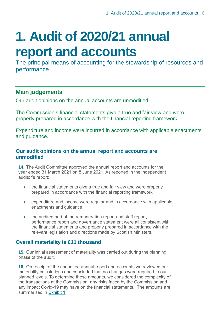# <span id="page-5-0"></span>**1. Audit of 2020/21 annual report and accounts**

The principal means of accounting for the stewardship of resources and performance.

# **Main judgements**

Our audit opinions on the annual accounts are unmodified.

The Commission's financial statements give a true and fair view and were properly prepared in accordance with the financial reporting framework.

Expenditure and income were incurred in accordance with applicable enactments and guidance.

### **Our audit opinions on the annual report and accounts are unmodified**

**14.** The Audit Committee approved the annual report and accounts for the year ended 31 March 2021 on 8 June 2021. As reported in the independent auditor's report:

- the financial statements give a true and fair view and were properly prepared in accordance with the financial reporting framework
- expenditure and income were regular and in accordance with applicable enactments and guidance
- the audited part of the remuneration report and staff report, performance report and governance statement were all consistent with the financial statements and properly prepared in accordance with the relevant legislation and directions made by Scottish Ministers.

# **Overall materiality is £11 thousand**

**15.** Our initial assessment of materiality was carried out during the planning phase of the audit.

**16.** On receipt of the unaudited annual report and accounts we reviewed our materiality calculations and concluded that no changes were required to our planned levels. To determine these amounts, we considered the complexity of the transactions at the Commission, any risks faced by the Commission and any impact Covid-19 may have on the financial statements. The amounts are summarised in [Exhibit 1.](#page-6-0)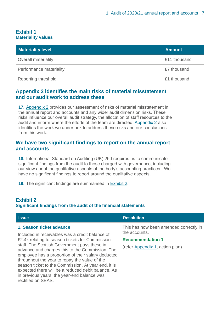### <span id="page-6-0"></span>**Exhibit 1 Materiality values**

| <b>Materiality level</b>   | <b>Amount</b> |
|----------------------------|---------------|
| Overall materiality        | £11 thousand  |
| Performance materiality    | £7 thousand   |
| <b>Reporting threshold</b> | £1 thousand   |

## **Appendix 2 identifies the main risks of material misstatement and our audit work to address these**

**17.** Appendix 2 [provides our assessment of risks of material misstatement in](#page-16-0)  [the annual report and accounts and any wider audit dimension risks. These](#page-16-0)  [risks influence our overall audit strategy, the allocation of staff resources to the](#page-16-0)  [audit and inform where the efforts of the team are directed. Appendix 2](#page-16-0) also [identifies the work we undertook to address these risks and our conclusions](#page-16-0)  from [this work.](#page-16-0)

### **We have two significant findings to report on the annual report and accounts**

**18.** International Standard on Auditing (UK) 260 requires us to communicate significant findings from the audit to those charged with governance, including our view about the qualitative aspects of the body's accounting practices. We have no significant findings to report around the qualitative aspects.

**19.** The significant findings are summarised in [Exhibit 2.](#page-6-1)

### **Exhibit 2**

### **Significant findings from the audit of the financial statements**

<span id="page-6-1"></span>

| <b>Issue</b>                                                                                                                                                                                                                                                                                                                                                                                                                                                                                                               | <b>Resolution</b>                                       |  |
|----------------------------------------------------------------------------------------------------------------------------------------------------------------------------------------------------------------------------------------------------------------------------------------------------------------------------------------------------------------------------------------------------------------------------------------------------------------------------------------------------------------------------|---------------------------------------------------------|--|
| 1. Season ticket advance<br>Included in receivables was a credit balance of<br>£2.4k relating to season tickets for Commission<br>staff. The Scottish Government pays these in<br>advance and charges this to the Commission. The<br>employee has a proportion of their salary deducted<br>throughout the year to repay the value of the<br>season ticket to the Commission. At year end, it is<br>expected there will be a reduced debit balance. As<br>in previous years, the year-end balance was<br>rectified on SEAS. | This has now been amended correctly in<br>the accounts. |  |
|                                                                                                                                                                                                                                                                                                                                                                                                                                                                                                                            | <b>Recommendation 1</b>                                 |  |
|                                                                                                                                                                                                                                                                                                                                                                                                                                                                                                                            | (refer Appendix 1, action plan)                         |  |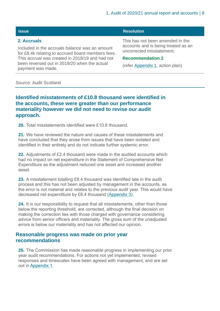### <span id="page-7-0"></span>**2. Accruals**

Included in the accruals balance was an amount for £8.4k relating to accrued board members fees. This accrual was created in 2018/19 and had not been reversed out in 2019/20 when the actual payment was made.

#### **Issue Resolution Resolution**

This has not been amended in the accounts and is being treated as an uncorrected misstatement.

#### **Recommendation 2**

(refer [Appendix 1,](#page-11-0) action plan)

#### Source: Audit Scotland

### **Identified misstatements of £10.8 thousand were identified in the accounts, these were greater than our performance materiality however we did not need to revise our audit approach.**

**20.** Total misstatements identified were £10.8 thousand.

**21.** We have reviewed the nature and causes of these misstatements and have concluded that they arose from issues that have been isolated and identified in their entirety and do not indicate further systemic error.

**22.** Adjustments of £2.4 thousand were made in the audited accounts which had no impact on net expenditure in the Statement of Comprehensive Net Expenditure as the adjustment reduced one asset and increased another asset.

**23.** A misstatement totalling £8.4 thousand was identified late in the audit process and this has not been adjusted by management in the accounts, as the error is not material and relates to the previous audit year. This would have decreased net expenditure by £8.4 thousand [\(Appendix 3\)](#page-18-0).

**24.** It is our responsibility to request that all misstatements, other than those below the reporting threshold, are corrected, although the final decision on making the correction lies with those charged with governance considering advice from senior officers and materiality. The gross sum of the unadjusted errors is below our materiality and has not affected our opinion.

### **Reasonable progress was made on prior year recommendations**

**25.** The Commission has made reasonable progress in implementing our prior year audit recommendations. For actions not yet implemented, revised responses and timescales have been agreed with management, and are set out i[n Appendix 1.](#page-11-0)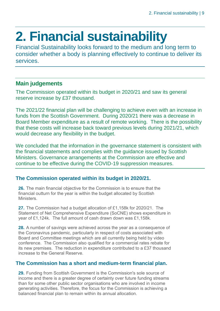# <span id="page-8-0"></span>**2. Financial sustainability**

Financial Sustainability looks forward to the medium and long term to consider whether a body is planning effectively to continue to deliver its services.

# **Main judgements**

The Commission operated within its budget in 2020/21 and saw its general reserve increase by £37 thousand.

The 2021/22 financial plan will be challenging to achieve even with an increase in funds from the Scottish Government. During 2020/21 there was a decrease in Board Member expenditure as a result of remote working. There is the possibility that these costs will increase back toward previous levels during 2021/21, which would decrease any flexibility in the budget.

We concluded that the information in the governance statement is consistent with the financial statements and complies with the guidance issued by Scottish Ministers. Governance arrangements at the Commission are effective and continue to be effective during the COVID-19 suppression measures.

# **The Commission operated within its budget in 2020/21.**

**26.** The main financial objective for the Commission is to ensure that the financial outturn for the year is within the budget allocated by Scottish **Ministers** 

**27.** The Commission had a budget allocation of £1,158k for 2020/21. The Statement of Net Comprehensive Expenditure (SoCNE) shows expenditure in year of £1,124k. The full amount of cash drawn down was £1,158k.

**28.** A number of savings were achieved across the year as a consequence of the Coronavirus pandemic, particularly in respect of costs associated with Board and Committee meetings which are all currently being held by video conference. The Commission also qualified for a commercial rates rebate for its new premises. The reduction in expenditure contributed to a £37 thousand increase to the General Reserve.

# **The Commission has a short and medium-term financial plan.**

**29.** Funding from Scottish Government is the Commission's sole source of income and there is a greater degree of certainty over future funding streams than for some other public sector organisations who are involved in income generating activities. Therefore, the focus for the Commission is achieving a balanced financial plan to remain within its annual allocation.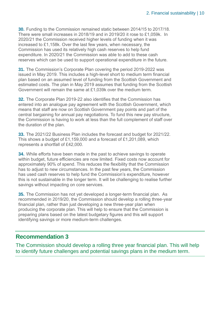**30.** Funding to the Commission remained static between 2014/15 to 2017/18. There were small increases in 2018/19 and in 2019/20 it rose to £1,059k. In 2020/21 the Commission received higher levels of funding when it was increased to £1,158k. Over the last few years, when necessary, the Commission has used its relatively high cash reserves to help fund expenditure. In 2020/21 the Commission was able to add to these cash reserves which can be used to support operational expenditure in the future.

**31.** The Commission's Corporate Plan covering the period 2019-2022 was issued in May 2019. This includes a high-level short to medium term financial plan based on an assumed level of funding from the Scottish Government and estimated costs. The plan in May 2019 assumes that funding from the Scottish Government will remain the same at £1,039k over the medium term.

**32.** The Corporate Plan 2019-22 also identifies that the Commission has entered into an analogue pay agreement with the Scottish Government, which means that staff are now on Scottish Government pay points and part of the central bargaining for annual pay negotiations. To fund this new pay structure, the Commission is having to work at less than the full complement of staff over the duration of the plan.

**33.** The 2021/22 Business Plan includes the forecast and budget for 2021/22. This shows a budget of £1,159,000 and a forecast of £1,201,089, which represents a shortfall of £42,000.

**34.** While efforts have been made in the past to achieve savings to operate within budget, future efficiencies are now limited. Fixed costs now account for approximately 90% of spend. This reduces the flexibility that the Commission has to adjust to new circumstances. In the past few years, the Commission has used cash reserves to help fund the Commission's expenditure, however this is not sustainable in the longer term. It will be challenging to realise further savings without impacting on core services.

<span id="page-9-0"></span>**35.** The Commission has not yet developed a longer-term financial plan. As recommended in 2019/20, the Commission should develop a rolling three-year financial plan, rather than just developing a new three-year plan when producing the corporate plan. This will help to ensure that the Commission is preparing plans based on the latest budgetary figures and this will support identifying savings or more medium-term challenges.

# **Recommendation 3**

The Commission should develop a rolling three year financial plan. This will help to identify future challenges and potential savings plans in the medium term.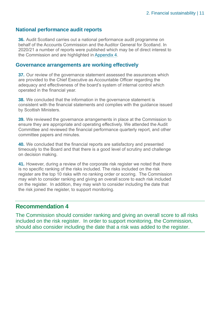### **National performance audit reports**

**36.** Audit Scotland carries out a national performance audit programme on behalf of the Accounts Commission and the Auditor General for Scotland. In 2020/21 a number of reports were published which may be of direct interest to the Commission and are highlighted in [Appendix 4.](#page-19-0)

### **Governance arrangements are working effectively**

**37.** Our review of the governance statement assessed the assurances which are provided to the Chief Executive as Accountable Officer regarding the adequacy and effectiveness of the board's system of internal control which operated in the financial year.

**38.** We concluded that the information in the governance statement is consistent with the financial statements and complies with the guidance issued by Scottish Ministers.

**39.** We reviewed the governance arrangements in place at the Commission to ensure they are appropriate and operating effectively. We attended the Audit Committee and reviewed the financial performance quarterly report, and other committee papers and minutes.

**40.** We concluded that the financial reports are satisfactory and presented timeously to the Board and that there is a good level of scrutiny and challenge on decision making.

<span id="page-10-0"></span>**41.** However, during a review of the corporate risk register we noted that there is no specific ranking of the risks included. The risks included on the risk register are the top 10 risks with no ranking order or scoring. The Commission may wish to consider ranking and giving an overall score to each risk included on the register. In addition, they may wish to consider including the date that the risk joined the register, to support monitoring.

## **Recommendation 4**

The Commission should consider ranking and giving an overall score to all risks included on the risk register. In order to support monitoring, the Commission, should also consider including the date that a risk was added to the register.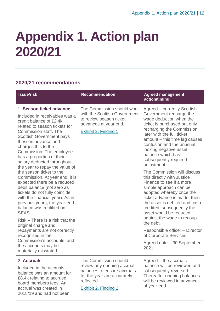# <span id="page-11-0"></span>**Appendix 1. Action plan 2020/21**

# **2020/21 recommendations**

| <b>Issue/risk</b>                                                                                                                                                                                                                                                                                                                                         | <b>Recommendation</b>                                                                                                                  | <b>Agreed management</b><br>action/timing                                                                                                                                                                                                                                                                                         |
|-----------------------------------------------------------------------------------------------------------------------------------------------------------------------------------------------------------------------------------------------------------------------------------------------------------------------------------------------------------|----------------------------------------------------------------------------------------------------------------------------------------|-----------------------------------------------------------------------------------------------------------------------------------------------------------------------------------------------------------------------------------------------------------------------------------------------------------------------------------|
| 1. Season ticket advance<br>Included in receivables was a<br>credit balance of £2.4k<br>related to season tickets for<br>Commission staff. The<br><b>Scottish Government pays</b><br>these in advance and<br>charges this to the<br>Commission. The employee<br>has a proportion of their<br>salary deducted throughout<br>the year to repay the value of | The Commission should work<br>with the Scottish Government<br>to review season ticket<br>advances at year end.<br>Exhibit 2, Finding 1 | Agreed – currently Scottish<br>Government recharge the<br>wage deduction when the<br>ticket is purchased but only<br>recharging the Commission<br>later with the full ticket<br>amount - this time lag causes<br>confusion and the unusual<br>looking negative asset<br>balance which has<br>subsequently required<br>adjustment. |
| the season ticket to the<br>Commission. At year end, it is<br>expected there be a reduced<br>debit balance (not zero as<br>tickets do not fully coincide<br>with the financial year). As in<br>previous years, the year-end<br>balance was rectified on<br>SEAS.                                                                                          |                                                                                                                                        | The Commission will discuss<br>this directly with Justice<br>Finance to see if a more<br>simple approach can be<br>adopted whereby once the<br>ticket advance is made, then<br>the asset is debited and cash<br>credited, subsequently the<br>asset would be reduced                                                              |
| Risk – There is a risk that the<br>original charge and                                                                                                                                                                                                                                                                                                    |                                                                                                                                        | against the wage to recoup<br>the debt.                                                                                                                                                                                                                                                                                           |
| repayments are not correctly<br>recognised in the<br>Commission's accounts, and<br>the accounts may be<br>materially misstated.                                                                                                                                                                                                                           |                                                                                                                                        | Responsible officer - Director<br>of Corporate Services                                                                                                                                                                                                                                                                           |
|                                                                                                                                                                                                                                                                                                                                                           |                                                                                                                                        | Agreed date - 30 September<br>2021                                                                                                                                                                                                                                                                                                |
| 2. Accruals                                                                                                                                                                                                                                                                                                                                               | The Commission should                                                                                                                  | Agreed – the accruals                                                                                                                                                                                                                                                                                                             |

Included in the accruals balance was an amount for £8.4k relating to accrued board members fees. An accrual was created in 2018/19 and had not been

review any opening accrual balances to ensure accruals for the year are accurately reflected.

[Exhibit 2, Finding 2](#page-7-0)

balance will be reviewed and subsequently reversed. Thereafter opening balances will be reviewed in advance of year-end.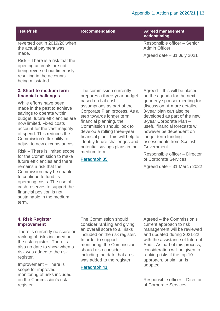| <b>Issue/risk</b> |
|-------------------|
|-------------------|

### **Institute Proportion Agreed management**

**action/timing**

Admin Officer

Responsible officer – Senior

Agreed date – 31 July 2021

reversed out in 2019/20 when the actual payment was made.

Risk – There is a risk that the opening accruals are not being reversed out timeously resulting in the accounts being misstated.

### **3. Short to medium term financial challenges**

While efforts have been made in the past to achieve savings to operate within budget, future efficiencies are now limited. Fixed costs account for the vast majority of spend. This reduces the Commission's flexibility to adjust to new circumstances.

Risk – There is limited scope for the Commission to make future efficiencies and there remains a risk that the Commission may be unable to continue to fund its operating costs. The use of cash reserves to support the financial position is not sustainable in the medium term.

The commission currently prepares a three-year budget based on flat cash assumptions as part of the Corporate Plan process. As a step towards longer term financial planning, the Commission should look to develop a rolling three-year financial plan. This will help to identify future challenges and potential savings plans in the medium term.

### [Paragraph 35](#page-9-0)

Agreed – this will be placed

on the agenda for the next quarterly sponsor meeting for discussion. A more detailed 3-year plan can also be developed as part of the new 3-year Corporate Plan – useful financial forecasts will however be dependent on longer term funding assessments from Scottish Government.

Responsible officer – Director of Corporate Services

Agreed date – 31 March 2022

#### **4. Risk Register Improvement**

There is currently no score or ranking of risks included on the risk register. There is also no date to show when a risk was added to the risk register.

Improvement – There is scope for improved monitoring of risks included on the Commission's risk register.

The Commission should consider ranking and giving an overall score to all risks included on the risk register. In order to support monitoring, the Commission should also consider including the date that a risk was added to the register.

### [Paragraph 41](#page-10-0)

Agreed – the Commission's current approach to risk management will be reviewed and updated during 2021-22 with the assistance of Internal Audit. As part of this process, consideration will be given to ranking risks if the top 10 approach, or similar, is adopted.

Responsible officer – Director of Corporate Services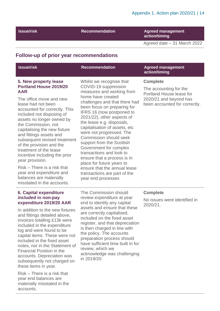**Issue/risk Recommendation Agreed management action/timing**

Agreed date – 31 March 2022

### **Follow-up of prior year recommendations**

### **5. New property lease Portland House 2019/20 AAR**

The office move and new lease had not been accounted for correctly. This included not disposing of assets no longer owned by the Commission, not capitalising the new fixture and fittings assets and subsequent revised treatment of the provision and the treatment of the lease incentive including the prior year provision.

Risk – There is a risk that year end expenditure and balances are materially misstated in the accounts. Whilst we recognise that COVID-19 suppression measures and working from home have created challenges and that there had been focus on preparing for IFRS 16 (now postponed to 2021/22), other aspects of the lease e.g. disposals, capitalisation of assets, etc were not progressed. The Commission should seek support from the Scottish Government for complex transactions and look to ensure that a process is in place for future years to ensure that the annual lease transactions are part of the year end processes

### **Recommendation Agreed management action/timing**

### **Complete**

The accounting for the Portland House lease for 2020/21 and beyond has been accounted for correctly.

### **6. Capital expenditure included in non-pay expenditure 2019/20 AAR**

In addition to the new fixtures and fittings detailed above, invoices totalling £13k were included in the expenditure log and were found to be capital items. These were not included in the fixed asset notes, nor in the Statement of Financial Position in the accounts. Depreciation was subsequently not charged on these items in year.

Risk – There is a risk that year end balances are materially misstated in the accounts.

The Commission should review expenditure at year end to identify any capital assets and ensure that these are correctly capitalised, included on the fixed asset register, and that depreciation is then charged in line with the policy. The accounts preparation process should have sufficient time built in for review, which we acknowledge was challenging in 2019/20.

### **Complete**

No issues were identified in 2020/21.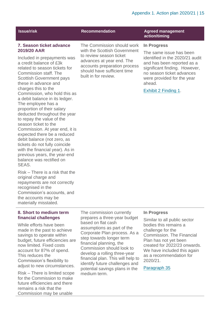### **7. Season ticket advance 2019/20 AAR**

Included in prepayments was a credit balance of £3k related to season tickets for Commission staff. The Scottish Government pays these in advance and charges this to the Commission, who hold this as a debit balance in its ledger. The employee has a proportion of their salary deducted throughout the year to repay the value of the season ticket to the Commission. At year end, it is expected there be a reduced debit balance (not zero, as tickets do not fully coincide with the financial year). As in previous years, the year-end balance was rectified on SEAS.

Risk – There is a risk that the original charge and repayments are not correctly recognised in the Commission's accounts, and the accounts may be materially misstated.

### **8. Short to medium term financial challenges**

While efforts have been made in the past to achieve savings to operate within budget, future efficiencies are now limited. Fixed costs account for 87% of spend. This reduces the Commission's flexibility to adjust to new circumstances.

Risk – There is limited scope for the Commission to make future efficiencies and there remains a risk that the Commission may be unable

The Commission should work with the Scottish Government to review season ticket advances at year end. The accounts preparation process should have sufficient time built in for review.

### **Institute Recommendation Agreed management action/timing**

#### **In Progress**

The same issue has been identified in the 2020/21 audit and has been reported as a significant finding. However, no season ticket advances were provided for the year ahead.

[Exhibit 2 Finding 1.](#page-6-1)

### **In Progress**

Similar to all public sector bodies this remains a challenge for the Commission. The Financial Plan has not yet been created for 2022/23 onwards. We have included this again as a recommendation for 2020/21.

[Paragraph 35](#page-9-0)

prepares a three-year budget based on flat cash assumptions as part of the Corporate Plan process. As a step towards longer term financial planning, the Commission should look to develop a rolling three-year financial plan. This will help to identify future challenges and potential savings plans in the medium term.

The commission currently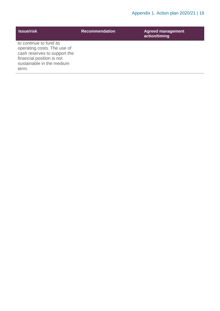| <b>Issue/risk</b>                                                                                                                                         | <b>Recommendation</b> | <b>Agreed management</b><br>action/timing |
|-----------------------------------------------------------------------------------------------------------------------------------------------------------|-----------------------|-------------------------------------------|
| to continue to fund its<br>operating costs. The use of<br>cash reserves to support the<br>financial position is not<br>sustainable in the medium<br>term. |                       |                                           |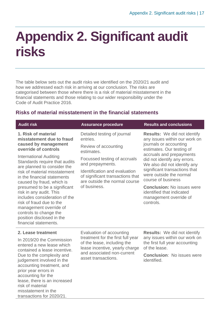# <span id="page-16-0"></span>**Appendix 2. Significant audit risks**

The table below sets out the audit risks we identified on the 2020/21 audit and how we addressed each risk in arriving at our conclusion. The risks are categorised between those where there is a risk of material misstatement in the financial statements and those relating to our wider responsibility under the Code of Audit Practice 2016.

## **Risks of material misstatement in the financial statements**

| <b>Audit risk</b>                                                                                                                                                                                                                                                                                                                                                                                                                                                                                                                | <b>Assurance procedure</b>                                                                                                                                                                                                                              | <b>Results and conclusions</b>                                                                                                                                                                                                                                                                                                                                                                                     |
|----------------------------------------------------------------------------------------------------------------------------------------------------------------------------------------------------------------------------------------------------------------------------------------------------------------------------------------------------------------------------------------------------------------------------------------------------------------------------------------------------------------------------------|---------------------------------------------------------------------------------------------------------------------------------------------------------------------------------------------------------------------------------------------------------|--------------------------------------------------------------------------------------------------------------------------------------------------------------------------------------------------------------------------------------------------------------------------------------------------------------------------------------------------------------------------------------------------------------------|
| 1. Risk of material<br>misstatement due to fraud<br>caused by management<br>override of controls<br><b>International Auditing</b><br>Standards require that audits<br>are planned to consider the<br>risk of material misstatement<br>in the financial statements<br>caused by fraud, which is<br>presumed to be a significant<br>risk in any audit. This<br>includes consideration of the<br>risk of fraud due to the<br>management override of<br>controls to change the<br>position disclosed in the<br>financial statements. | Detailed testing of journal<br>entries.<br>Review of accounting<br>estimates.<br>Focussed testing of accruals<br>and prepayments.<br>Identification and evaluation<br>of significant transactions that<br>are outside the normal course<br>of business. | <b>Results:</b> We did not identify<br>any issues within our work on<br>journals or accounting<br>estimates. Our testing of<br>accruals and prepayments<br>did not identify any errors.<br>We also did not identify any<br>significant transactions that<br>were outside the normal<br>course of business<br><b>Conclusion: No issues were</b><br>identified that indicated<br>management override of<br>controls. |
| 2. Lease treatment<br>In 2019/20 the Commission<br>entered a new lease which<br>contained a lease incentive.<br>Due to the complexity and<br>judgement involved in the<br>accounting treatment, and<br>prior year errors in<br>accounting for the<br>lease, there is an increased<br>risk of material<br>misstatement in the<br>transactions for 2020/21.                                                                                                                                                                        | Evaluation of accounting<br>treatment for the first full year<br>of the lease, including the<br>lease incentive, yearly charge<br>and associated non-current<br>asset transactions.                                                                     | <b>Results:</b> We did not identify<br>any issues within our work on<br>the first full year accounting<br>of the lease.<br><b>Conclusion: No issues were</b><br>identified.                                                                                                                                                                                                                                        |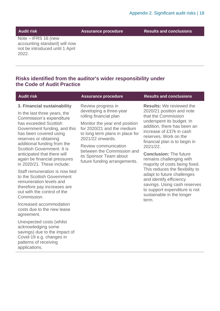**Audit risk Assurance procedure Results and conclusions**

Note – IFRS 16 (new accounting standard) will now not be introduced until 1 April 2022.

## **Risks identified from the auditor's wider responsibility under the Code of Audit Practice**

| <b>Audit risk</b>                                                                                                                                                                                                                                                 | <b>Assurance procedure</b>                                                                                                                                                                                            | <b>Results and conclusions</b>                                                                                                                                                                                                                                                                 |
|-------------------------------------------------------------------------------------------------------------------------------------------------------------------------------------------------------------------------------------------------------------------|-----------------------------------------------------------------------------------------------------------------------------------------------------------------------------------------------------------------------|------------------------------------------------------------------------------------------------------------------------------------------------------------------------------------------------------------------------------------------------------------------------------------------------|
| 3. Financial sustainability<br>In the last three years, the<br>Commission's expenditure<br>has exceeded Scottish<br>Government funding, and this<br>has been covered using<br>reserves or obtaining<br>additional funding from the<br>Scottish Government. It is  | Review progress in<br>developing a three-year<br>rolling financial plan<br>Monitor the year end position<br>for 2020/21 and the medium<br>to long term plans in place for<br>2021/22 onwards.<br>Review communication | <b>Results:</b> We reviewed the<br>2020/21 position and note<br>that the Commission<br>underspent its budget. In<br>addition, there has been an<br>increase of £37k in cash<br>reserves. Work on the<br>financial plan is to begin in<br>2021/22.                                              |
| anticipated that there will<br>again be financial pressures<br>in 2020/21. These include:<br>Staff remuneration is now tied<br>to the Scottish Government<br>remuneration levels and<br>therefore pay increases are<br>out with the control of the<br>Commission. | between the Commission and<br>its Sponsor Team about<br>future funding arrangements.                                                                                                                                  | <b>Conclusion: The future</b><br>remains challenging with<br>majority of costs being fixed.<br>This reduces the flexibility to<br>adapt to future challenges<br>and identify efficiency<br>savings. Using cash reserves<br>to support expenditure is not<br>sustainable in the longer<br>term. |
| Increased accommodation<br>costs due to the new lease<br>agreement.                                                                                                                                                                                               |                                                                                                                                                                                                                       |                                                                                                                                                                                                                                                                                                |
| Unexpected costs (whilst<br>acknowledging some<br>savings) due to the impact of<br>Covid-19 e.g. changes in<br>patterns of receiving<br>applications.                                                                                                             |                                                                                                                                                                                                                       |                                                                                                                                                                                                                                                                                                |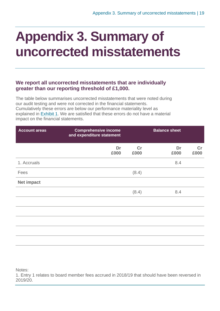# <span id="page-18-0"></span>**Appendix 3. Summary of uncorrected misstatements**

## **We report all uncorrected misstatements that are individually greater than our reporting threshold of £1,000.**

The table below summarises uncorrected misstatements that were noted during our audit testing and were not corrected in the financial statements. Cumulatively these errors are below our performance materiality level as explained in [Exhibit](#page-6-0) 1. We are satisfied that these errors do not have a material impact on the financial statements.

| <b>Account areas</b> | <b>Comprehensive income</b><br>and expenditure statement |            | <b>Balance sheet</b> |                       |
|----------------------|----------------------------------------------------------|------------|----------------------|-----------------------|
|                      | Dr<br>£000                                               | cr<br>£000 | Dr<br>£000           | $\mathsf{Cr}$<br>£000 |
| 1. Accruals          |                                                          |            | 8.4                  |                       |
| Fees                 |                                                          | (8.4)      |                      |                       |
| <b>Net impact</b>    |                                                          |            |                      |                       |
|                      |                                                          | (8.4)      | 8.4                  |                       |
|                      |                                                          |            |                      |                       |
|                      |                                                          |            |                      |                       |
|                      |                                                          |            |                      |                       |
|                      |                                                          |            |                      |                       |
|                      |                                                          |            |                      |                       |

Notes:

1. Entry 1 relates to board member fees accrued in 2018/19 that should have been reversed in 2019/20.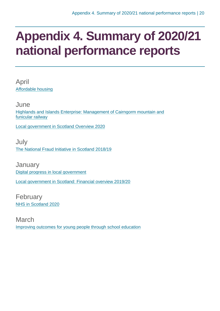# <span id="page-19-0"></span>**Appendix 4. Summary of 2020/21 national performance reports**

April [Affordable housing](https://www.audit-scotland.gov.uk/report/affordable-housing)

June [Highlands and Islands Enterprise: Management of Cairngorm mountain and](https://www.audit-scotland.gov.uk/report/highlands-and-islands-enterprise-management-of-cairngorm-mountain-and-funicular-railway)  [funicular railway](https://www.audit-scotland.gov.uk/report/highlands-and-islands-enterprise-management-of-cairngorm-mountain-and-funicular-railway)

[Local government in Scotland Overview 2020](https://www.audit-scotland.gov.uk/report/local-government-in-scotland-overview-2020)

**July** [The National Fraud Initiative in Scotland 2018/19](https://www.audit-scotland.gov.uk/report/the-national-fraud-initiative-in-scotland-201819)

**January** [Digital progress in local government](https://www.audit-scotland.gov.uk/report/digital-progress-in-local-government) [Local government in Scotland: Financial overview 2019/20](https://www.audit-scotland.gov.uk/report/local-government-in-scotland-financial-overview-201920)

February [NHS in Scotland 2020](https://www.audit-scotland.gov.uk/report/nhs-in-scotland-2020)

March [Improving outcomes for young people through school education](https://www.audit-scotland.gov.uk/report/improving-outcomes-for-young-people-through-school-education)